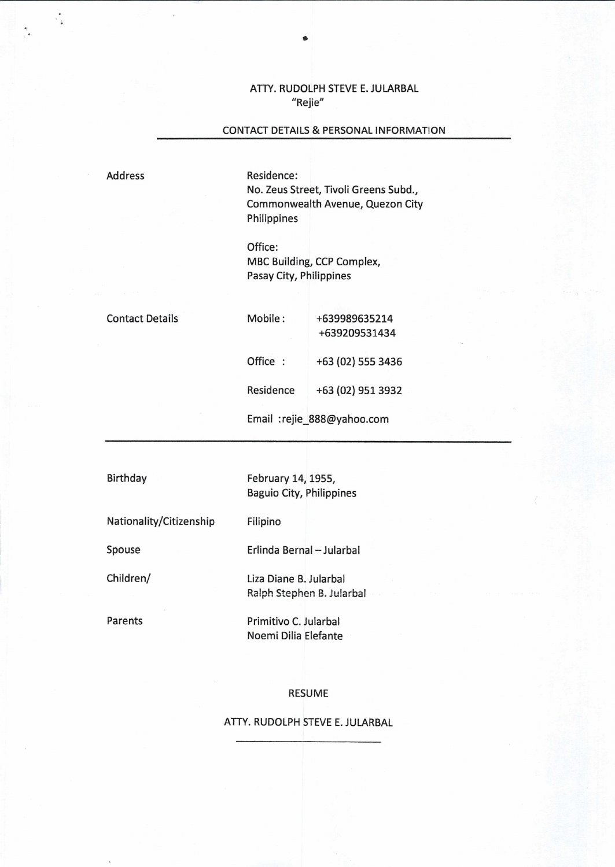ATTY. RUDOLPH STEVE E. JULARBAL "Rejie"

## CONTACT DETAILS & PERSONAL INFORMATION

Address

 $\tau_{\rm in}$ 

Residence: No. Zeus Street, Tivoli Greens Subd., Commonwealth Avenue, Quezon City Philippines

Office: MBC Building, CCP Complex, Pasay City, Philippines

Contact Details

Mobile: +639989635214 +639209531434 Office : +63 (02) 555 3436

Residence +63 (02) 951 3932

Email : rejie\_888@yahoo.com

Birthday February 14, 1955, Baguio City, Philippines

Nationality/Citizenship Filipino

Spouse Erlinda Bernal—Jularbal

Children/ Liza Diane B. Jularbal Ralph Stephen B. Jularbal

Parents Primitivo C. Jularbal Noemi Dilia Elefante

RESUME

ATTY. RUDOLPH STEVE E. JULARBAL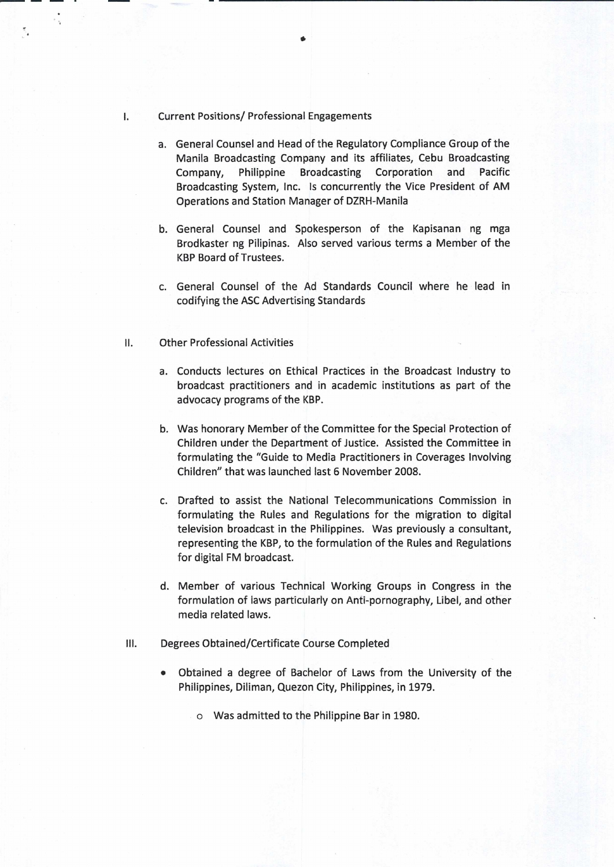## Current Positions/ Professional Engagements

 $\mathbf{I}$ .

- a. General Counsel and Head of the Regulatory Compliance Group of the Manila Broadcasting Company and its affiliates, Cebu Broadcasting Company, Philippine Broadcasting Corporation and Pacific Broadcasting System, Inc. Is concurrently the Vice President of AM Operations and Station Manager of DZRH-Manila
- b. General Counsel and Spokesperson of the Kapisanan ng mga Brodkaster ng Pilipinas. Also served various terms a Member of the KBP Board of Trustees.
- c. General Counsel of the Ad Standards Council where he lead in codifying the ASC Advertising Standards
- II. Other Professional Activities
	- a. Conducts lectures on Ethical Practices in the Broadcast Industry to broadcast practitioners and in academic institutions as part of the advocacy programs of the KBP.
	- b. Was honorary Member of the Committee for the Special Protection of Children under the Department of Justice. Assisted the Committee in formulating the "Guide to Media Practitioners in Coverages Involving Children" that was launched last 6 November 2008.
	- c. Drafted to assist the National Telecommunications Commission in formulating the Rules and Regulations for the migration to digital television broadcast in the Philippines. Was previously a consultant, representing the KBP, to the formulation of the Rules and Regulations for digital FM broadcast.
	- d. Member of various Technical Working Groups in Congress in the formulation of laws particularly on Anti-pornography, Libel, and other media related laws.
- III. Degrees Obtained/Certificate Course Completed
	- Obtained a degree of Bachelor of Laws from the University of the Philippines, Diliman, Quezon City, Philippines, in 1979.
		- o Was admitted to the Philippine Bar in 1980.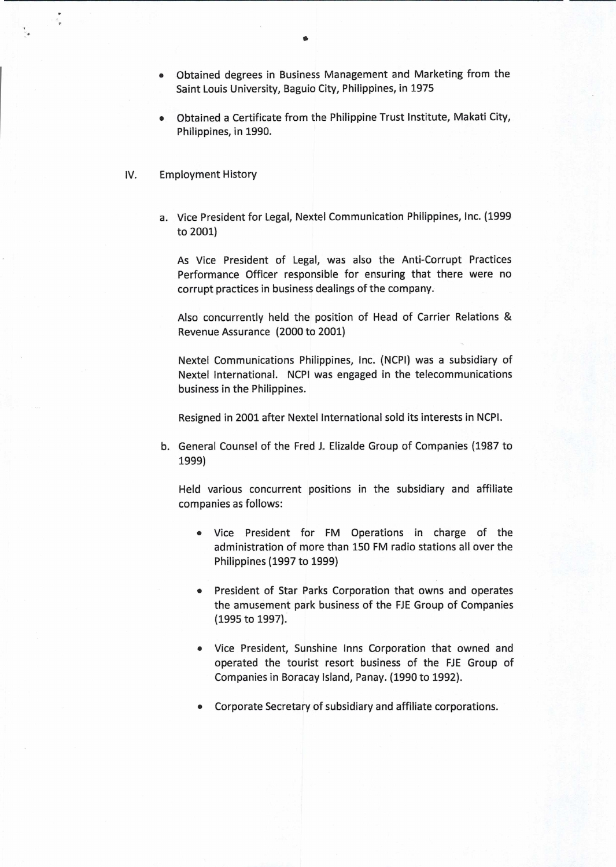- Obtained degrees in Business Management and Marketing from the Saint Louis University, Baguio City, Philippines, in 1975
- Obtained a Certificate from the Philippine Trust Institute, Makati City, Philippines, in 1990.
- IV. Employment History
	- a. Vice President for Legal, Nextel Communication Philippines, Inc. (1999 to 2001)

As Vice President of Legal, was also the Anti-Corrupt Practices Performance Officer responsible for ensuring that there were no corrupt practices in business dealings of the company.

Also concurrently held the position of Head of Carrier Relations & Revenue Assurance (2000 to 2001)

Nextel Communications Philippines, Inc. (NCPl) was a subsidiary of Nextel International. NCPI was engaged in the telecommunications business in the Philippines.

Resigned in 2001 after Nextel International sold its interests in NCPI.

b. General Counsel of the Fred J. Elizalde Group of Companies (1987 to 1999)

Held various concurrent positions in the subsidiary and affiliate companies as follows:

- Vice President for FM Operations in charge of the administration of more than 150 FM radio stations all over the Philippines (1997 to 1999)
- President of Star Parks Corporation that owns and operates the amusement park business of the FJE Group of Companies (1995 to 1997).
- Vice President, Sunshine Inns Corporation that owned and operated the tourist resort business of the FJE Group of Companies in Boracay Island, Panay. (1990 to 1992).
- Corporate Secretary of subsidiary and affiliate corporations.